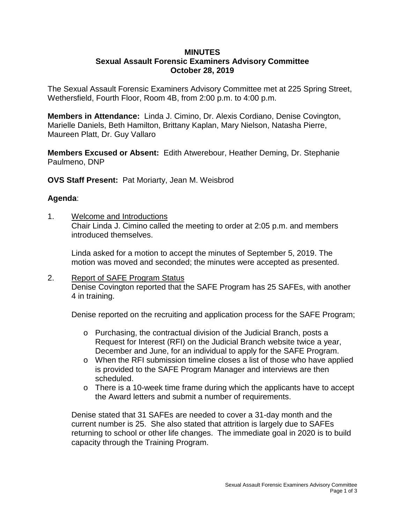#### **MINUTES Sexual Assault Forensic Examiners Advisory Committee October 28, 2019**

The Sexual Assault Forensic Examiners Advisory Committee met at 225 Spring Street, Wethersfield, Fourth Floor, Room 4B, from 2:00 p.m. to 4:00 p.m.

**Members in Attendance:** Linda J. Cimino, Dr. Alexis Cordiano, Denise Covington, Marielle Daniels, Beth Hamilton, Brittany Kaplan, Mary Nielson, Natasha Pierre, Maureen Platt, Dr. Guy Vallaro

**Members Excused or Absent:** Edith Atwerebour, Heather Deming, Dr. Stephanie Paulmeno, DNP

**OVS Staff Present:** Pat Moriarty, Jean M. Weisbrod

## **Agenda**:

1. Welcome and Introductions Chair Linda J. Cimino called the meeting to order at 2:05 p.m. and members introduced themselves.

Linda asked for a motion to accept the minutes of September 5, 2019. The motion was moved and seconded; the minutes were accepted as presented.

# 2. Report of SAFE Program Status

Denise Covington reported that the SAFE Program has 25 SAFEs, with another 4 in training.

Denise reported on the recruiting and application process for the SAFE Program;

- o Purchasing, the contractual division of the Judicial Branch, posts a Request for Interest (RFI) on the Judicial Branch website twice a year, December and June, for an individual to apply for the SAFE Program.
- o When the RFI submission timeline closes a list of those who have applied is provided to the SAFE Program Manager and interviews are then scheduled.
- $\circ$  There is a 10-week time frame during which the applicants have to accept the Award letters and submit a number of requirements.

Denise stated that 31 SAFEs are needed to cover a 31-day month and the current number is 25. She also stated that attrition is largely due to SAFEs returning to school or other life changes. The immediate goal in 2020 is to build capacity through the Training Program.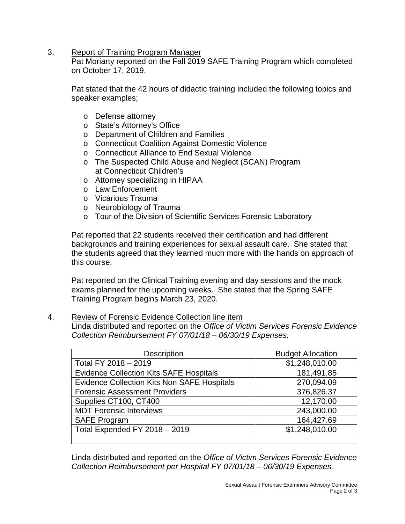#### 3. Report of Training Program Manager

Pat Moriarty reported on the Fall 2019 SAFE Training Program which completed on October 17, 2019.

Pat stated that the 42 hours of didactic training included the following topics and speaker examples;

- o Defense attorney
- o State's Attorney's Office
- o Department of Children and Families
- o Connecticut Coalition Against Domestic Violence
- o Connecticut Alliance to End Sexual Violence
- o The Suspected Child Abuse and Neglect (SCAN) Program at Connecticut Children's
- o Attorney specializing in HIPAA
- o Law Enforcement
- o Vicarious Trauma
- o Neurobiology of Trauma
- o Tour of the Division of Scientific Services Forensic Laboratory

Pat reported that 22 students received their certification and had different backgrounds and training experiences for sexual assault care. She stated that the students agreed that they learned much more with the hands on approach of this course.

Pat reported on the Clinical Training evening and day sessions and the mock exams planned for the upcoming weeks. She stated that the Spring SAFE Training Program begins March 23, 2020.

#### 4. Review of Forensic Evidence Collection line item

Linda distributed and reported on the *Office of Victim Services Forensic Evidence Collection Reimbursement FY 07/01/18 – 06/30/19 Expenses.* 

| <b>Description</b>                                 | <b>Budget Allocation</b> |
|----------------------------------------------------|--------------------------|
| Total FY 2018 - 2019                               | \$1,248,010.00           |
| <b>Evidence Collection Kits SAFE Hospitals</b>     | 181,491.85               |
| <b>Evidence Collection Kits Non SAFE Hospitals</b> | 270,094.09               |
| <b>Forensic Assessment Providers</b>               | 376,826.37               |
| Supplies CT100, CT400                              | 12,170.00                |
| <b>MDT Forensic Interviews</b>                     | 243,000.00               |
| <b>SAFE Program</b>                                | 164,427.69               |
| Total Expended FY 2018 - 2019                      | \$1,248,010.00           |
|                                                    |                          |

Linda distributed and reported on the *Office of Victim Services Forensic Evidence Collection Reimbursement per Hospital FY 07/01/18 – 06/30/19 Expenses.*